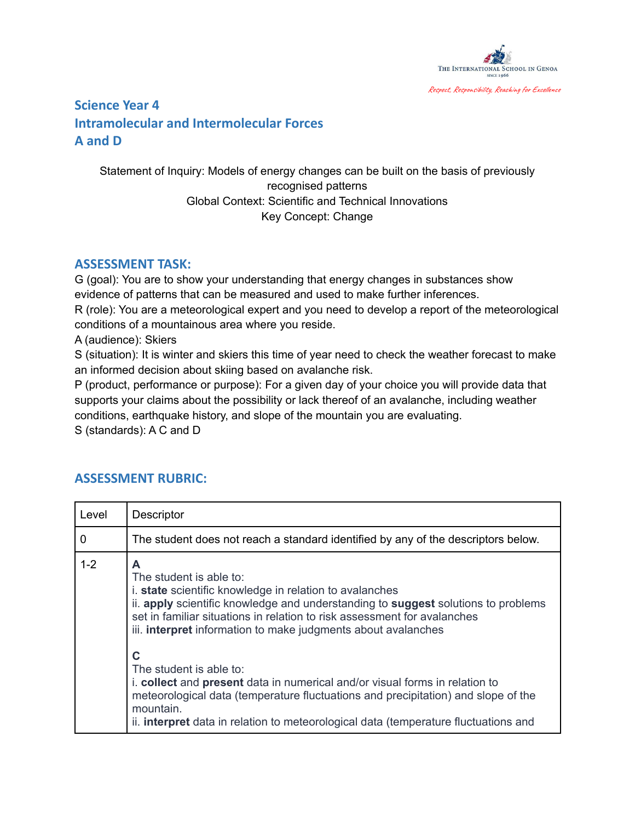

## **Science Year 4 Intramolecular and Intermolecular Forces A and D**

Statement of Inquiry: Models of energy changes can be built on the basis of previously recognised patterns Global Context: Scientific and Technical Innovations Key Concept: Change

## **ASSESSMENT TASK:**

G (goal): You are to show your understanding that energy changes in substances show evidence of patterns that can be measured and used to make further inferences.

R (role): You are a meteorological expert and you need to develop a report of the meteorological conditions of a mountainous area where you reside.

A (audience): Skiers

S (situation): It is winter and skiers this time of year need to check the weather forecast to make an informed decision about skiing based on avalanche risk.

P (product, performance or purpose): For a given day of your choice you will provide data that supports your claims about the possibility or lack thereof of an avalanche, including weather conditions, earthquake history, and slope of the mountain you are evaluating. S (standards): A C and D

## **ASSESSMENT RUBRIC:**

| Level       | Descriptor                                                                                                                                                                                                                                                                                                                                                                                                                                                                                                                                                                                                                                             |
|-------------|--------------------------------------------------------------------------------------------------------------------------------------------------------------------------------------------------------------------------------------------------------------------------------------------------------------------------------------------------------------------------------------------------------------------------------------------------------------------------------------------------------------------------------------------------------------------------------------------------------------------------------------------------------|
| $\mathbf 0$ | The student does not reach a standard identified by any of the descriptors below.                                                                                                                                                                                                                                                                                                                                                                                                                                                                                                                                                                      |
| $1 - 2$     | A<br>The student is able to:<br><i>i.</i> state scientific knowledge in relation to avalanches<br>ii. apply scientific knowledge and understanding to suggest solutions to problems<br>set in familiar situations in relation to risk assessment for avalanches<br>iii. <b>interpret</b> information to make judgments about avalanches<br>C<br>The student is able to:<br>i. collect and present data in numerical and/or visual forms in relation to<br>meteorological data (temperature fluctuations and precipitation) and slope of the<br>mountain.<br>ii. <b>interpret</b> data in relation to meteorological data (temperature fluctuations and |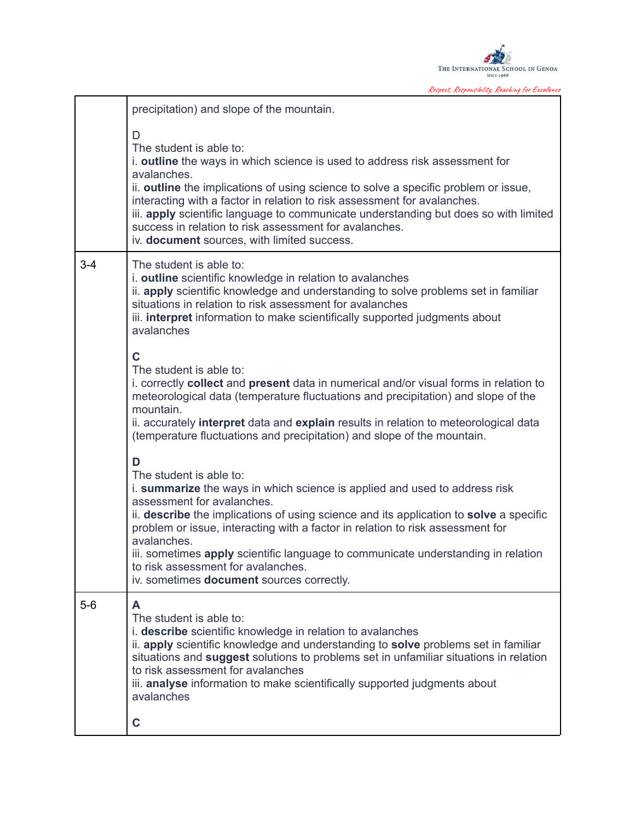

Respect, Responsibility, Reaching for Excellence

|         | precipitation) and slope of the mountain.                                                                                                                                                                                                                                                                                                                                                                                                                                                                   |
|---------|-------------------------------------------------------------------------------------------------------------------------------------------------------------------------------------------------------------------------------------------------------------------------------------------------------------------------------------------------------------------------------------------------------------------------------------------------------------------------------------------------------------|
|         | D<br>The student is able to:<br>i. outline the ways in which science is used to address risk assessment for<br>avalanches.<br>ii. outline the implications of using science to solve a specific problem or issue,<br>interacting with a factor in relation to risk assessment for avalanches.<br>iii. apply scientific language to communicate understanding but does so with limited<br>success in relation to risk assessment for avalanches.<br>iv. document sources, with limited success.              |
| $3 - 4$ | The student is able to:<br>i. outline scientific knowledge in relation to avalanches<br>ii. apply scientific knowledge and understanding to solve problems set in familiar<br>situations in relation to risk assessment for avalanches<br>iii. <b>interpret</b> information to make scientifically supported judgments about<br>avalanches                                                                                                                                                                  |
|         | C<br>The student is able to:<br>i. correctly <b>collect</b> and <b>present</b> data in numerical and/or visual forms in relation to<br>meteorological data (temperature fluctuations and precipitation) and slope of the<br>mountain.<br>ii. accurately interpret data and explain results in relation to meteorological data<br>(temperature fluctuations and precipitation) and slope of the mountain.                                                                                                    |
|         | D<br>The student is able to:<br>i. summarize the ways in which science is applied and used to address risk<br>assessment for avalanches.<br>ii. describe the implications of using science and its application to solve a specific<br>problem or issue, interacting with a factor in relation to risk assessment for<br>avalanches.<br>iii. sometimes apply scientific language to communicate understanding in relation<br>to risk assessment for avalanches.<br>iv. sometimes document sources correctly. |
| $5-6$   | A<br>The student is able to:<br>i. describe scientific knowledge in relation to avalanches<br>ii. apply scientific knowledge and understanding to solve problems set in familiar<br>situations and suggest solutions to problems set in unfamiliar situations in relation<br>to risk assessment for avalanches<br>iii. analyse information to make scientifically supported judgments about<br>avalanches                                                                                                   |
|         | C                                                                                                                                                                                                                                                                                                                                                                                                                                                                                                           |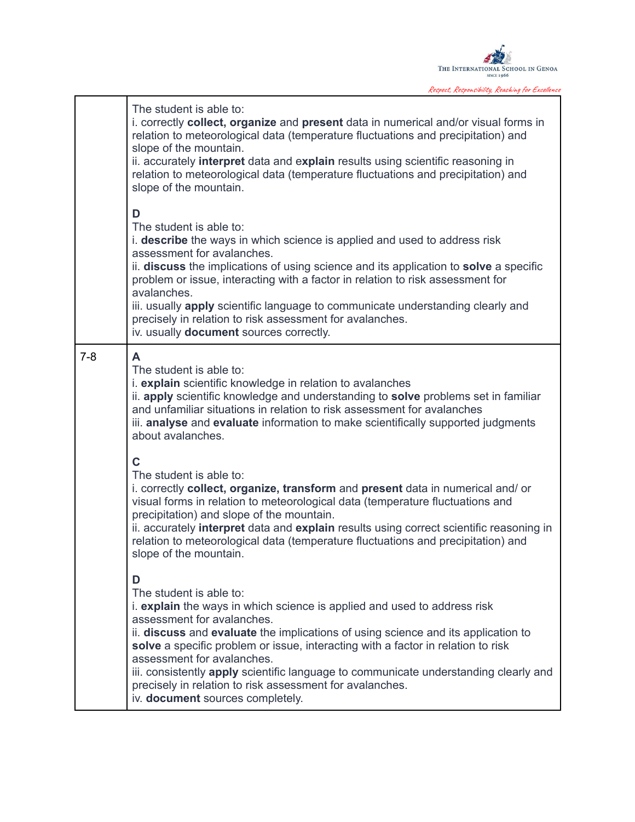

Respect, Responsibility, Reaching for Excellence

|         | The student is able to:<br>i. correctly collect, organize and present data in numerical and/or visual forms in<br>relation to meteorological data (temperature fluctuations and precipitation) and<br>slope of the mountain.<br>ii. accurately interpret data and explain results using scientific reasoning in<br>relation to meteorological data (temperature fluctuations and precipitation) and<br>slope of the mountain.<br>D<br>The student is able to:<br>i. describe the ways in which science is applied and used to address risk<br>assessment for avalanches.<br>ii. discuss the implications of using science and its application to solve a specific<br>problem or issue, interacting with a factor in relation to risk assessment for<br>avalanches.<br>iii. usually apply scientific language to communicate understanding clearly and<br>precisely in relation to risk assessment for avalanches.<br>iv. usually document sources correctly. |
|---------|--------------------------------------------------------------------------------------------------------------------------------------------------------------------------------------------------------------------------------------------------------------------------------------------------------------------------------------------------------------------------------------------------------------------------------------------------------------------------------------------------------------------------------------------------------------------------------------------------------------------------------------------------------------------------------------------------------------------------------------------------------------------------------------------------------------------------------------------------------------------------------------------------------------------------------------------------------------|
| $7 - 8$ | A<br>The student is able to:<br>i. explain scientific knowledge in relation to avalanches<br>ii. apply scientific knowledge and understanding to solve problems set in familiar<br>and unfamiliar situations in relation to risk assessment for avalanches<br>iii. analyse and evaluate information to make scientifically supported judgments<br>about avalanches.                                                                                                                                                                                                                                                                                                                                                                                                                                                                                                                                                                                          |
|         | Ć<br>The student is able to:<br>i. correctly collect, organize, transform and present data in numerical and/or<br>visual forms in relation to meteorological data (temperature fluctuations and<br>precipitation) and slope of the mountain.<br>ii. accurately interpret data and explain results using correct scientific reasoning in<br>relation to meteorological data (temperature fluctuations and precipitation) and<br>slope of the mountain.                                                                                                                                                                                                                                                                                                                                                                                                                                                                                                        |
|         | D<br>The student is able to:<br>i. explain the ways in which science is applied and used to address risk<br>assessment for avalanches.<br>ii. discuss and evaluate the implications of using science and its application to<br>solve a specific problem or issue, interacting with a factor in relation to risk<br>assessment for avalanches.<br>iii. consistently apply scientific language to communicate understanding clearly and<br>precisely in relation to risk assessment for avalanches.<br>iv. document sources completely.                                                                                                                                                                                                                                                                                                                                                                                                                        |